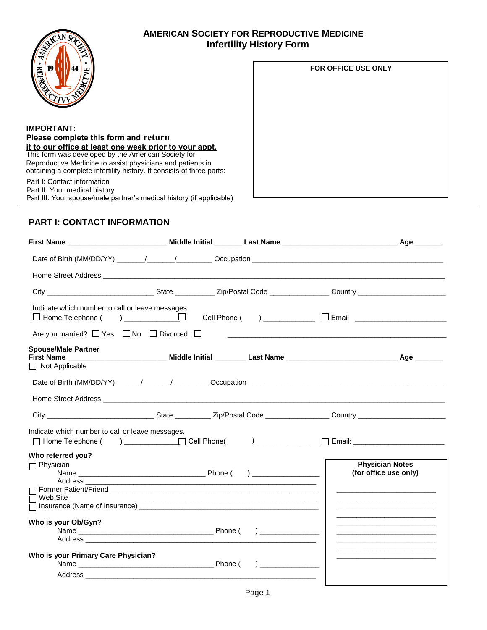

## **AMERICAN SOCIETY FOR REPRODUCTIVE MEDICINE Infertility History Form**

| 19<br>즪                                                                                                                              | <b>FOR OFFICE USE ONLY</b> |
|--------------------------------------------------------------------------------------------------------------------------------------|----------------------------|
| <b>IMPORTANT:</b>                                                                                                                    |                            |
| Please complete this form and return                                                                                                 |                            |
| it to our office at least one week prior to your appt.<br>This form was developed by the American Society for                        |                            |
| Reproductive Medicine to assist physicians and patients in<br>obtaining a complete infertility history. It consists of three parts:  |                            |
| Part I: Contact information<br>Part II: Your medical history<br>Part III: Your spouse/male partner's medical history (if applicable) |                            |

# **PART I: CONTACT INFORMATION**

| Home Street Address experience and the street and the street and the street and the street and the street and the street and the street and the street and the street and the street and the street and the street and the str |  |  |                                                                                                                                                                                                                                      |
|--------------------------------------------------------------------------------------------------------------------------------------------------------------------------------------------------------------------------------|--|--|--------------------------------------------------------------------------------------------------------------------------------------------------------------------------------------------------------------------------------------|
|                                                                                                                                                                                                                                |  |  |                                                                                                                                                                                                                                      |
| Indicate which number to call or leave messages.<br>$\Box$ Home Telephone (                                                                                                                                                    |  |  |                                                                                                                                                                                                                                      |
| Are you married? $\Box$ Yes $\Box$ No $\Box$ Divorced $\Box$                                                                                                                                                                   |  |  |                                                                                                                                                                                                                                      |
| <b>Spouse/Male Partner</b>                                                                                                                                                                                                     |  |  |                                                                                                                                                                                                                                      |
| $\Box$ Not Applicable                                                                                                                                                                                                          |  |  |                                                                                                                                                                                                                                      |
|                                                                                                                                                                                                                                |  |  |                                                                                                                                                                                                                                      |
|                                                                                                                                                                                                                                |  |  |                                                                                                                                                                                                                                      |
|                                                                                                                                                                                                                                |  |  |                                                                                                                                                                                                                                      |
| Indicate which number to call or leave messages.                                                                                                                                                                               |  |  |                                                                                                                                                                                                                                      |
| Who referred you?                                                                                                                                                                                                              |  |  |                                                                                                                                                                                                                                      |
| $\Box$ Physician<br>Address ____                                                                                                                                                                                               |  |  | <b>Physician Notes</b><br>(for office use only)                                                                                                                                                                                      |
| Web Site                                                                                                                                                                                                                       |  |  | <u> 1989 - Johann Stein, markin fan it ferstjer fan de ferstjer fan it ferstjer fan it ferstjer fan it ferstjer f</u>                                                                                                                |
|                                                                                                                                                                                                                                |  |  | <u> 1989 - Johann John Stein, market fan it ferskearre fan it ferskearre fan it ferskearre fan it ferskearre fan i</u>                                                                                                               |
| Who is your Ob/Gyn?                                                                                                                                                                                                            |  |  | <u> 1989 - Johann John Harry John Harry John Harry John Harry John Harry John Harry John Harry John Harry John Harry John Harry John Harry John Harry John Harry John Harry John Harry John Harry John Harry John Harry John Har</u> |
|                                                                                                                                                                                                                                |  |  | <u> 1989 - Johann John Stein, markin fan it ferstjer fan de ferstjer fan it ferstjer fan it ferstjer fan it ferst</u>                                                                                                                |
| Who is your Primary Care Physician?                                                                                                                                                                                            |  |  | <u> 1980 - Johann John Harry Harry Harry Harry Harry Harry Harry Harry Harry Harry Harry Harry Harry Harry Harry H</u>                                                                                                               |
|                                                                                                                                                                                                                                |  |  |                                                                                                                                                                                                                                      |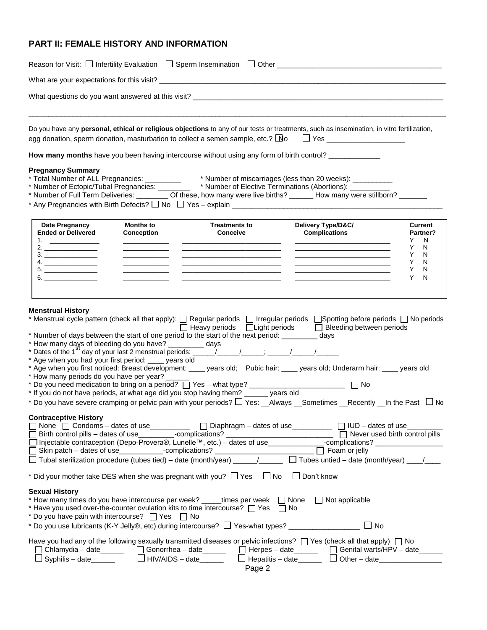## **PART II: FEMALE HISTORY AND INFORMATION**

|                                                                                                                                                                                                                                                                                                                                                                                                          |                                                                 |                                                                                                                                                                                                                                                                                                                                                                              | Do you have any personal, ethical or religious objections to any of our tests or treatments, such as insemination, in vitro fertilization,<br>egg donation, sperm donation, masturbation to collect a semen sample, etc.? $\Box$ o $\Box$ Yes                                                                                                                                                                                                                                   |                                                                         |  |
|----------------------------------------------------------------------------------------------------------------------------------------------------------------------------------------------------------------------------------------------------------------------------------------------------------------------------------------------------------------------------------------------------------|-----------------------------------------------------------------|------------------------------------------------------------------------------------------------------------------------------------------------------------------------------------------------------------------------------------------------------------------------------------------------------------------------------------------------------------------------------|---------------------------------------------------------------------------------------------------------------------------------------------------------------------------------------------------------------------------------------------------------------------------------------------------------------------------------------------------------------------------------------------------------------------------------------------------------------------------------|-------------------------------------------------------------------------|--|
|                                                                                                                                                                                                                                                                                                                                                                                                          |                                                                 |                                                                                                                                                                                                                                                                                                                                                                              | How many months have you been having intercourse without using any form of birth control? ___________                                                                                                                                                                                                                                                                                                                                                                           |                                                                         |  |
| <b>Pregnancy Summary</b>                                                                                                                                                                                                                                                                                                                                                                                 |                                                                 |                                                                                                                                                                                                                                                                                                                                                                              | * Total Number of ALL Pregnancies: __________ * Number of miscarriages (less than 20 weeks): __________<br>* Number of Ectopic/Tubal Pregnancies: _______ * Number of Elective Terminations (Abortions): __________<br>* Number of Full Term Deliveries: _________ Of these, how many were live births? ______ How many were stillborn? ______                                                                                                                                  |                                                                         |  |
| <b>Date Pregnancy</b><br><b>Ended or Delivered</b>                                                                                                                                                                                                                                                                                                                                                       | <b>Months to</b>                                                | <b>Treatments to</b>                                                                                                                                                                                                                                                                                                                                                         | Delivery Type/D&C/                                                                                                                                                                                                                                                                                                                                                                                                                                                              | <b>Current</b>                                                          |  |
| 1. $\qquad \qquad$<br>4.                                                                                                                                                                                                                                                                                                                                                                                 | Conception<br><u> 1989 - Johann Barnett, fransk politiker (</u> | Conceive                                                                                                                                                                                                                                                                                                                                                                     | <b>Complications</b><br><u> 1980 - Jan James James Barnett, amerikansk politik (</u><br><u> 1989 - Johann John Stone, mars et al. 1989 - John Stone, mars et al. 1989 - John Stone, mars et al. 1989 - John Stone</u>                                                                                                                                                                                                                                                           | Partner?<br>Y<br>N<br>Y.<br>N<br>N<br>Y.<br>Y.<br>N<br>N<br>Y<br>N<br>Y |  |
| * How many days of bleeding do you have? _________ days<br>* Age when you had your first period: ____ years old<br>* How many periods do you have per year? _____                                                                                                                                                                                                                                        |                                                                 | * Number of days between the start of one period to the start of the next period: __________ days<br>* How many days of bleeding do you have? __________ days<br>* Dates of the 1 <sup>81</sup> day of your last 2 menstrual periods: ______/_______/_______; ______/_______/_______<br>* If you do not have periods, at what age did you stop having them? ______ years old | * Menstrual cycle pattern (check all that apply): [ Regular periods [ Irregular periods [ Spotting before periods [ No periods<br>□ Heavy periods □ Light periods □ Bleeding between periods<br>* Age when you first noticed: Breast development: ____ years old; Pubic hair: ____ years old; Underarm hair: ____ years old<br>$\Box$ No<br>* Do you have severe cramping or pelvic pain with your periods? $\Box$ Yes: __Always __Sometimes __Recently __In the Past $\Box$ No |                                                                         |  |
| <b>Contraceptive History</b><br>]None $\[\hspace{0.1cm} \fbox{]$ Condoms – dates of use____________ $\[\hspace{0.1cm} \fbox{]}$ Diaphragm – dates of use_____________ $\[\hspace{0.1cm} \fbox{] }$ IUD – dates of use_______<br>$\overline{\phantom{a}}$<br>$\overline{\Box}$ Tubal sterilization procedure (tubes tied) – date (month/year) _____/_____ $\Box$ Tubes untied – date (month/year) ___/___ |                                                                 |                                                                                                                                                                                                                                                                                                                                                                              |                                                                                                                                                                                                                                                                                                                                                                                                                                                                                 |                                                                         |  |
| * Did your mother take DES when she was pregnant with you? $\Box$ Yes $\Box$ No $\Box$ Don't know                                                                                                                                                                                                                                                                                                        |                                                                 |                                                                                                                                                                                                                                                                                                                                                                              |                                                                                                                                                                                                                                                                                                                                                                                                                                                                                 |                                                                         |  |
| <b>Sexual History</b><br>* Do you have pain with intercourse? T Yes T No                                                                                                                                                                                                                                                                                                                                 |                                                                 | * How many times do you have intercourse per week? _____times per week $\Box$ None<br>* Have you used over-the-counter ovulation kits to time intercourse? $\Box$ Yes                                                                                                                                                                                                        | $\Box$ Not applicable<br>$\Box$ No<br>$\Box$ No                                                                                                                                                                                                                                                                                                                                                                                                                                 |                                                                         |  |
|                                                                                                                                                                                                                                                                                                                                                                                                          | □ Chlamydia – date________  □ Gonorrhea – date_______           | Page 2                                                                                                                                                                                                                                                                                                                                                                       | Have you had any of the following sexually transmitted diseases or pelvic infections? $\Box$ Yes (check all that apply) $\Box$ No<br>□ Herpes – date___________ □ Genital warts/HPV – date_______<br>$\Box$ Hepatitis - date $\Box$ $\Box$ Other - date                                                                                                                                                                                                                         |                                                                         |  |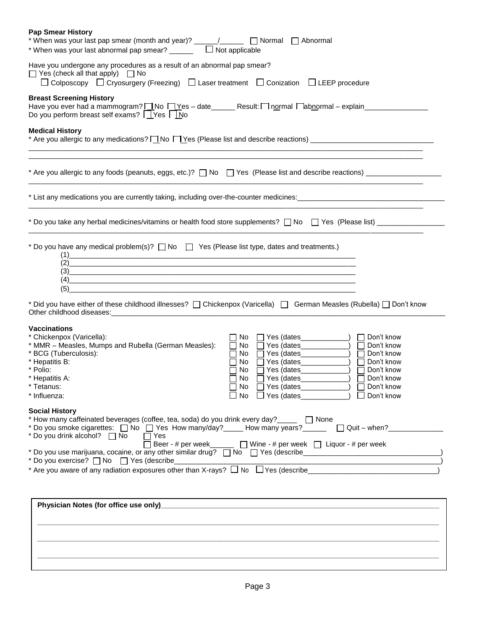| <b>Pap Smear History</b><br>* When was your last pap smear (month and year)? _____/_____ [ Normal<br>$\Box$ Abnormal<br>* When was your last abnormal pap smear? $\Box$ $\Box$ Not applicable                                                                                                                                                                                                                                                                                                                                                                                                             |
|-----------------------------------------------------------------------------------------------------------------------------------------------------------------------------------------------------------------------------------------------------------------------------------------------------------------------------------------------------------------------------------------------------------------------------------------------------------------------------------------------------------------------------------------------------------------------------------------------------------|
| Have you undergone any procedures as a result of an abnormal pap smear?<br>$\Box$ Yes (check all that apply) $\Box$ No<br>□ Colposcopy □ Cryosurgery (Freezing) □ Laser treatment □ Conization □ LEEP procedure                                                                                                                                                                                                                                                                                                                                                                                           |
| <b>Breast Screening History</b><br>Have you ever had a mammogram? <u>□</u> No □ Yes - date______ Result: □ normal □ abnormal - explain_________<br>Do you perform breast self exams? $\Box$ Yes $\Box$ No                                                                                                                                                                                                                                                                                                                                                                                                 |
| <b>Medical History</b>                                                                                                                                                                                                                                                                                                                                                                                                                                                                                                                                                                                    |
|                                                                                                                                                                                                                                                                                                                                                                                                                                                                                                                                                                                                           |
| * List any medications you are currently taking, including over-the-counter medicines: _____________________________                                                                                                                                                                                                                                                                                                                                                                                                                                                                                      |
| * Do you take any herbal medicines/vitamins or health food store supplements? $\Box$ No $\Box$ Yes (Please list) ____________                                                                                                                                                                                                                                                                                                                                                                                                                                                                             |
| * Do you have any medical problem(s)? No \[ Yes (Please list type, dates and treatments.)<br>(1)<br>$(2)$ . The contract of the contract of the contract of the contract of the contract of the contract of the contract of the contract of the contract of the contract of the contract of the contract of the contract of the c<br>$\left(3\right)$<br>(4)<br>(5)<br>* Did you have either of these childhood illnesses? [ Chickenpox (Varicella) [ German Measles (Rubella) [ Don't know                                                                                                               |
| Other childhood diseases: Manual Manual Manual Manual Manual Manual Manual Manual Manual Manual Manual Manual<br><b>Vaccinations</b><br>* Chickenpox (Varicella):<br>Don't know<br>No.<br>* MMR - Measles, Mumps and Rubella (German Measles):<br>Don't know<br>No<br>$\Box$ Yes (dates______________)<br>$\Box$<br>* BCG (Tuberculosis):<br>$Yes (dates \_ )$<br>No.<br>Don't know<br>* Hepatitis B:<br>No<br>Don't know<br>* Polio:<br>$\Box$ Yes (dates_____________)<br>No.<br>Don't know<br>* Hepatitis A:<br>No<br>Yes (dates____________<br>Don't know<br>□ Don't know<br>Tetanus:<br>* Influenza: |
| <b>Social History</b><br>* How many caffeinated beverages (coffee, tea, soda) do you drink every day?_____ [ None<br>* Do you smoke cigarettes: $\Box$ No $\Box$ Yes How many/day? How many years? $\Box$ $\Box$ Quit – when? $\Box$<br>* Do you drink alcohol?  T No  T Yes<br>Beer - # per week ______ [ ] Wine - # per week [ ] Liquor - # per week<br>* Do you exercise? No Yes (describe______                                                                                                                                                                                                       |
|                                                                                                                                                                                                                                                                                                                                                                                                                                                                                                                                                                                                           |
|                                                                                                                                                                                                                                                                                                                                                                                                                                                                                                                                                                                                           |

**\_\_\_\_\_\_\_\_\_\_\_\_\_\_\_\_\_\_\_\_\_\_\_\_\_\_\_\_\_\_\_\_\_\_\_\_\_\_\_\_\_\_\_\_\_\_\_\_\_\_\_\_\_\_\_\_\_\_\_\_\_\_\_\_\_\_\_\_\_\_\_\_\_\_\_\_\_\_\_\_\_\_\_\_\_\_\_\_\_\_\_\_\_\_\_\_\_\_\_\_\_**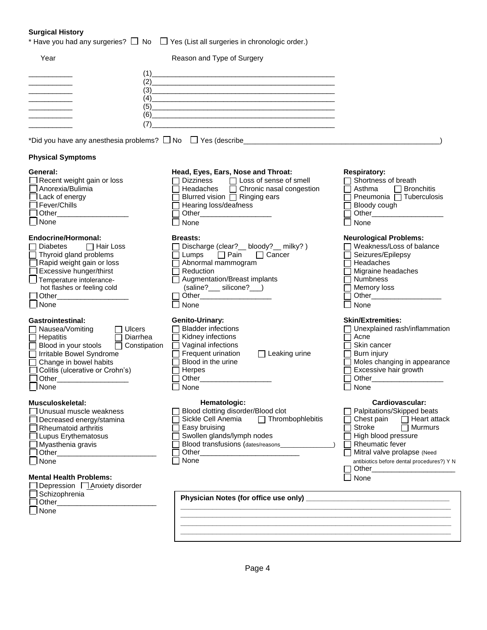## **Surgical History**

| <b>Surgical History</b>                                                                                                                                                                                                                                       | * Have you had any surgeries? $\Box$ No $\Box$ Yes (List all surgeries in chronologic order.)                                                                                                                                                                                                                                                                                                                                                                                                                                                                                                                                                              |                                                                                                                                                                                                                                                   |
|---------------------------------------------------------------------------------------------------------------------------------------------------------------------------------------------------------------------------------------------------------------|------------------------------------------------------------------------------------------------------------------------------------------------------------------------------------------------------------------------------------------------------------------------------------------------------------------------------------------------------------------------------------------------------------------------------------------------------------------------------------------------------------------------------------------------------------------------------------------------------------------------------------------------------------|---------------------------------------------------------------------------------------------------------------------------------------------------------------------------------------------------------------------------------------------------|
| Year                                                                                                                                                                                                                                                          | Reason and Type of Surgery                                                                                                                                                                                                                                                                                                                                                                                                                                                                                                                                                                                                                                 |                                                                                                                                                                                                                                                   |
| (1)<br>(4)<br>(5)<br>(6)<br>(7)                                                                                                                                                                                                                               | <u> 1989 - Johann John Harry Harry Harry Harry Harry Harry Harry Harry Harry Harry Harry Harry Harry Harry Harry H</u><br>$(2) \qquad \qquad \overbrace{\hspace{2.5cm} }$<br>$\begin{picture}(3) \put(0,0) {\line(1,0){155}} \put(0,0){\line(1,0){155}} \put(0,0){\line(1,0){155}} \put(0,0){\line(1,0){155}} \put(0,0){\line(1,0){155}} \put(0,0){\line(1,0){155}} \put(0,0){\line(1,0){155}} \put(0,0){\line(1,0){155}} \put(0,0){\line(1,0){155}} \put(0,0){\line(1,0){155}} \put(0,0){\line(1,0){155}} \put(0,0){\line(1,0){1$<br><u> 2000 - Jan James James Jan James James James James James James James James James James James James James Jam</u> |                                                                                                                                                                                                                                                   |
|                                                                                                                                                                                                                                                               |                                                                                                                                                                                                                                                                                                                                                                                                                                                                                                                                                                                                                                                            |                                                                                                                                                                                                                                                   |
| <b>Physical Symptoms</b>                                                                                                                                                                                                                                      |                                                                                                                                                                                                                                                                                                                                                                                                                                                                                                                                                                                                                                                            |                                                                                                                                                                                                                                                   |
| General:<br>Recent weight gain or loss<br><sup>1</sup> Anorexia/Bulimia<br>Lack of energy<br>Fever/Chills<br>Tother <b>Communist Communist Property</b><br><b>None</b>                                                                                        | Head, Eyes, Ears, Nose and Throat:<br>Dizziness □ Loss of sense of smell<br>Headaches □ Chronic nasal congestion<br>Blurred vision □ Ringing ears<br>Hearing loss/deafness<br>None                                                                                                                                                                                                                                                                                                                                                                                                                                                                         | <b>Respiratory:</b><br>Shortness of breath<br>$\Box$ Bronchitis<br>Asthma<br>Pneumonia □ Tuberculosis<br>Bloody cough<br>None                                                                                                                     |
| Endocrine/Hormonal:<br>□ Hair Loss<br><b>Diabetes</b><br>Thyroid gland problems<br>Rapid weight gain or loss<br>Excessive hunger/thirst<br>Temperature intolerance-<br>hot flashes or feeling cold<br>1 Other____________________<br>None                     | <b>Breasts:</b><br>Discharge (clear? __ bloody? __ milky?)<br>$\Box$ Pain<br>$\Box$ Cancer<br>Lumps<br>Abnormal mammogram<br>Reduction<br>Augmentation/Breast implants<br>(saline?___ silicone?__)<br>None                                                                                                                                                                                                                                                                                                                                                                                                                                                 | <b>Neurological Problems:</b><br>Weakness/Loss of balance<br>Seizures/Epilepsy<br>Headaches<br>Migraine headaches<br>Numbness<br>Memory loss<br>None                                                                                              |
| <b>Gastrointestinal:</b><br>Nausea/Vomiting<br>Ulcers<br>Hepatitis<br>Diarrhea<br>Blood in your stools<br>Constipation<br>Irritable Bowel Syndrome<br>Change in bowel habits<br>Colitis (ulcerative or Crohn's)<br>Other______________________<br>$\Box$ None | <b>Genito-Urinary:</b><br><b>Bladder infections</b><br>Kidney infections<br>Vaginal infections<br>Frequent urination<br>$\Box$ Leaking urine<br>Blood in the urine<br>Herpes<br>Other the contract of the contract of the contract of the contract of the contract of the contract of the contract of the contract of the contract of the contract of the contract of the contract of the contract of the cont<br>$\Box$ None                                                                                                                                                                                                                              | <b>Skin/Extremities:</b><br>Unexplained rash/inflammation<br>Acne<br>Skin cancer<br>Burn injury<br>Moles changing in appearance<br>Excessive hair growth<br>$\Box$ None                                                                           |
| Musculoskeletal:<br>Unusual muscle weakness<br>Decreased energy/stamina<br><b>Rheumatoid arthritis</b><br>I Lupus Erythematosus<br>Myasthenia gravis<br>1 Other________________<br>None<br><b>Mental Health Problems:</b>                                     | Hematologic:<br>Blood clotting disorder/Blood clot<br>Sickle Cell Anemia<br>$\Box$ Thrombophlebitis<br>Easy bruising<br>Swollen glands/lymph nodes<br>Other<br>None                                                                                                                                                                                                                                                                                                                                                                                                                                                                                        | Cardiovascular:<br>Palpitations/Skipped beats<br>Chest pain $\Box$ Heart attack<br><b>Murmurs</b><br>Stroke<br>High blood pressure<br><b>Rheumatic fever</b><br>Mitral valve prolapse (Need<br>antibiotics before dental procedures?) Y N<br>None |
| 1Depression □ Anxiety disorder<br>Schizophrenia<br>1 Other_______________________<br>None                                                                                                                                                                     |                                                                                                                                                                                                                                                                                                                                                                                                                                                                                                                                                                                                                                                            |                                                                                                                                                                                                                                                   |

**\_\_\_\_\_\_\_\_\_\_\_\_\_\_\_\_\_\_\_\_\_\_\_\_\_\_\_\_\_\_\_\_\_\_\_\_\_\_\_\_\_\_\_\_\_\_\_\_\_\_\_\_\_\_\_\_\_\_\_\_\_\_\_\_\_\_\_\_ \_\_\_\_\_\_\_\_\_\_\_\_\_\_\_\_\_\_\_\_\_\_\_\_\_\_\_\_\_\_\_\_\_\_\_\_\_\_\_\_\_\_\_\_\_\_\_\_\_\_\_\_\_\_\_\_\_\_\_\_\_\_\_\_\_\_\_\_**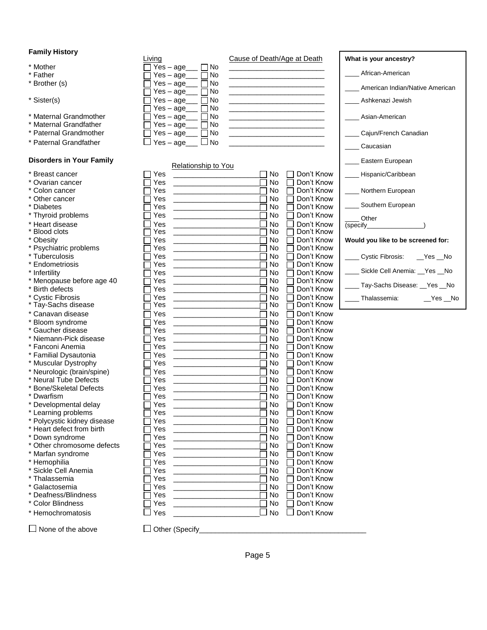### **Family History**

- 
- 
- 
- 
- $*$  Maternal Grandmother  $\Box$  Yes
- $*$  Maternal Grandfather  $\Box$  Yes
- $*$  Paternal Grandmother  $\Box$  Yes
- $*$  Paternal Grandfather  $\Box$  Yes

#### **Disorders in Your Family**

|  |  | * Breast cancer |
|--|--|-----------------|
|--|--|-----------------|

- \* Ovarian cancer  $\Box$  Yes  $\Box$  Yes  $\Box$  Yes
- 
- \* Other cancer  $\Box$  Yes  $\Box$  Yes  $\Box$  Yes
- 
- \* Thyroid problems  $\Box$  Yes<br>  $\Box$  Yes  $\Box$  Yes
- \* Heart disease  $\Box$  Yes<br>\* Blood clots  $\Box$  Yes
- \* Blood clots  $\Box$  Yes  $\Box$  Yes
- 
- \* Psychiatric problems  $\Box$  Yes
- 
- $*$  Endometriosis  $\Box$  Yes
- 
- 
- 
- 
- \* Tay-Sachs disease
- \* Canavan disease  $\Box$  Yes \* Bloom syndrome  $\Box$  Yes
- $*$  Gaucher disease  $\Box$  Yes
- \* Niemann-Pick disease  $\Box$  Yes
- $*$  Fanconi Anemia  $\Box$  Yes
- 
- $*$  Familial Dysautonia  $\Box$  Yes \* Muscular Dystrophy  $\Box$  Yes
- \* Neurologic (brain/spine)  $\Box$  Yes
- \* Neural Tube Defects  $\Box$  Yes
- \* Bone/Skeletal Defects  $\Box$  Yes  $\Box$  Yes  $\Box$  Yes
- 
- 
- \* Developmental delay  $\Box$  Yes  $\Box$  Yes  $\Box$  Yes
- \* Learning problems<br>
\* Polycystic kidney disease<br>  $\Box$  Yes \* Polycystic kidney disease  $\Box$  Yes <br>\* Heart defect from birth  $\Box$  Yes

- 
- \* Down syndrome  $\square$  Yes <br>\* Other chromosome defects  $\square$  Yes \* Other chromosome defects  $\Box$  Yes<br>\* Marfan syndrome  $\Box$  Yes
- \* Marfan syndrome
- $*$  Hemophilia  $\square$  Yes
- \* Sickle Cell Anemia Yes \_\_\_\_\_\_\_\_\_\_\_\_\_\_\_\_\_\_\_\_\_\_ No Don't Know
- $\begin{array}{ccc} \star \text{Thalassemia} \ \star \text{Galactosemia} \ \end{array}$   $\begin{array}{ccc} \text{Yes} \ \end{array}$
- 
- 
- 
- Yes \_\_\_\_\_\_\_\_\_\_\_\_\_\_\_\_\_\_\_\_\_\_ No □ Don't Know<br>Yes \_\_\_\_\_\_\_\_\_\_\_\_\_\_\_\_\_\_\_ No □ Don't Know \* Deafness/Blindness Yes \_\_\_\_\_\_\_\_\_\_\_\_\_\_\_\_\_\_\_\_\_\_ No Don't Know \* Color Blindness  $\Box$  Yes  $\Box$  Yes  $\Box$  No  $\Box$  No  $\Box$  No  $\Box$  No  $\Box$  No  $\Box$  $\Box$  Yes  $\Box$  No  $\Box$  Don't Know

| * Hemochromatosis |  |
|-------------------|--|
|                   |  |

 $\Box$  None of the above  $\Box$  Other (Specify

|                        | Living                   | Cause of Death/Age at Death | What is your ancestry?          |
|------------------------|--------------------------|-----------------------------|---------------------------------|
| * Mother               | 1 No<br>$Yes - ade$      |                             |                                 |
| * Father               | No.<br>Yes – age         |                             | African-American                |
| * Brother (s)          | No.<br>$Yes - aqe$       |                             |                                 |
|                        | No.<br>Yes – age         |                             | American Indian/Native American |
| * Sister(s)            | $Yes - aqe$<br>No.       |                             | Ashkenazi Jewish                |
|                        | No.<br>$Yes - aqe$       |                             |                                 |
| * Maternal Grandmother | No<br>$Yes - ade$        |                             | Asian-American                  |
| * Maternal Grandfather | No.<br>$Yes - aqe$       |                             |                                 |
| * Paternal Grandmother | No.<br>Yes – age         |                             | Cajun/French Canadian           |
| * Paternal Grandfather | <b>No</b><br>$Yes - aqe$ |                             |                                 |
|                        |                          |                             | Caucasian                       |

#### Relationship to Yo

| <u>i algiliai Olaliulatiigi</u>    | ayc                                                                                                                                                                                                                                         |                                             | Caucasian                           |
|------------------------------------|---------------------------------------------------------------------------------------------------------------------------------------------------------------------------------------------------------------------------------------------|---------------------------------------------|-------------------------------------|
| <b>Disorders in Your Family</b>    | Relationship to You                                                                                                                                                                                                                         |                                             | Eastern European                    |
| * Breast cancer                    | Yes                                                                                                                                                                                                                                         | Don't Know<br>No                            | Hispanic/Caribbean                  |
| * Ovarian cancer                   | Yes                                                                                                                                                                                                                                         | No<br>Don't Know                            |                                     |
| * Colon cancer                     | Yes                                                                                                                                                                                                                                         | No<br>Don't Know                            | Northern European                   |
| * Other cancer                     | Yes                                                                                                                                                                                                                                         | No<br>Don't Know                            |                                     |
| * Diabetes                         | Yes                                                                                                                                                                                                                                         | No<br>Don't Know                            | Southern European                   |
| * Thyroid problems                 | Yes                                                                                                                                                                                                                                         | No<br>Don't Know                            | Other                               |
| * Heart disease                    | Yes<br><u> 1989 - Johann Barn, fransk politik (</u>                                                                                                                                                                                         | No<br>Don't Know                            | (specify                            |
| <b>Blood clots</b>                 | Yes<br><u> 2002 - Johann John Stone, Amerikaansk politiker (</u>                                                                                                                                                                            | No<br>Don't Know                            |                                     |
| * Obesity                          | Yes<br><u> La Carlo de la Carlo de la Ca</u>                                                                                                                                                                                                | <b>No</b><br>Don't Know                     | Would you like to be screened for:  |
| * Psychiatric problems             | Yes                                                                                                                                                                                                                                         | No<br>Don't Know                            |                                     |
| * Tuberculosis                     | Yes                                                                                                                                                                                                                                         | No<br>Don't Know                            | <b>Cystic Fibrosis:</b><br>$Yes$ No |
| * Endometriosis                    | Yes<br><u> 1999 - Johann Stoff, mars and de la politica de la politica de la politica de la politica de la politica de l</u>                                                                                                                | No<br>Don't Know                            |                                     |
| * Infertility                      | Yes                                                                                                                                                                                                                                         | No<br>Don't Know                            | Sickle Cell Anemia: _Yes _No        |
| * Menopause before age 40          | Yes                                                                                                                                                                                                                                         | No<br>Don't Know                            | Tay-Sachs Disease: Yes No           |
| * Birth defects                    | Yes                                                                                                                                                                                                                                         | No<br>Don't Know                            |                                     |
| * Cystic Fibrosis                  | Yes                                                                                                                                                                                                                                         | No<br>Don't Know                            | Thalassemia:<br>$Yes$ No            |
| Tay-Sachs disease                  | Yes<br><u> La Carlo de la Carlo de la Carlo de la Ca</u>                                                                                                                                                                                    | No<br>Don't Know                            |                                     |
| * Canavan disease                  | Yes<br><u> 1999 - Johann Stein, mars and de Brandenburg and de Brandenburg and de Brandenburg and de Brandenburg and de Brandenburg and de Brandenburg and de Brandenburg and de Brandenburg and de Brandenburg and de Brandenburg and </u> | No<br>Don't Know                            |                                     |
| * Bloom syndrome                   | Yes<br><u> 1989 - Johann Stein, mars and</u>                                                                                                                                                                                                | No<br>Don't Know                            |                                     |
| * Gaucher disease                  | Yes                                                                                                                                                                                                                                         | No<br>Don't Know                            |                                     |
| * Niemann-Pick disease             | Yes<br><u> 1980 - Jan Stein Stein Stein Stein Stein Stein Stein Stein Stein Stein Stein Stein Stein Stein Stein Stein S</u>                                                                                                                 | No<br>Don't Know                            |                                     |
| * Fanconi Anemia                   | Yes                                                                                                                                                                                                                                         | No<br>Don't Know                            |                                     |
| * Familial Dysautonia              | Yes                                                                                                                                                                                                                                         | No<br>Don't Know                            |                                     |
| * Muscular Dystrophy               | Yes                                                                                                                                                                                                                                         | No<br>Don't Know                            |                                     |
| * Neurologic (brain/spine)         | Yes                                                                                                                                                                                                                                         | No<br>Don't Know                            |                                     |
| * Neural Tube Defects              | Yes<br><u> 1960 - Johann Barnett, fransk politiker (</u>                                                                                                                                                                                    | No<br>Don't Know                            |                                     |
| * Bone/Skeletal Defects            | Yes<br><u> 1980 - Johann Stoff, fransk politik (</u>                                                                                                                                                                                        | No<br>Don't Know                            |                                     |
| * Dwarfism                         | Yes<br><u> 1980 - Johann John Stone, markin samti samti samti samti samti samti samti samti samti samti samti samti sa</u>                                                                                                                  | No<br>Don't Know                            |                                     |
| * Developmental delay              | Yes<br><u> La Carlo de la Carlo de la Carlo de la Ca</u>                                                                                                                                                                                    | No<br>Don't Know                            |                                     |
| * Learning problems                | Yes                                                                                                                                                                                                                                         | No<br>Don't Know                            |                                     |
| * Polycystic kidney disease        | Yes                                                                                                                                                                                                                                         | No<br>Don't Know                            |                                     |
| * Heart defect from birth          | Yes                                                                                                                                                                                                                                         | No<br>Don't Know                            |                                     |
| * Down syndrome                    | Yes<br><u> 1990 - Johann Barnett, fransk politiker (</u>                                                                                                                                                                                    | No<br>Don't Know                            |                                     |
| * Other chromosome defects         | Yes                                                                                                                                                                                                                                         | No<br>Don't Know                            |                                     |
| * Marfan syndrome                  | Yes                                                                                                                                                                                                                                         | No<br>Don't Know<br>Don't Know              |                                     |
| * Hemophilia<br>Sickle Cell Anemia | Yes<br><u> 1990 - Johann Barnett, fransk politiker</u>                                                                                                                                                                                      | No                                          |                                     |
|                                    | Yes<br>Yes                                                                                                                                                                                                                                  | No<br>Don't Know<br><b>No</b><br>Don't Know |                                     |
| * Thalassemia<br>$*$ Calcatographs | $V_{\alpha\alpha}$                                                                                                                                                                                                                          | $N_{\rm A}$<br>$\Box$ Den't Know            |                                     |

| African-American                   |
|------------------------------------|
| American Indian/Native American    |
| Ashkenazi Jewish                   |
| Asian-American                     |
| Cajun/French Canadian              |
| Caucasian                          |
| Eastern European                   |
| Hispanic/Caribbean                 |
| Northern European                  |
| Southern European                  |
| Other<br>(specify_________________ |
| Would you like to be screened for: |
| Cystic Fibrosis: Yes No            |
| Sickle Cell Anemia: Yes No         |

| Thalassemia: | Yes |
|--------------|-----|
|              |     |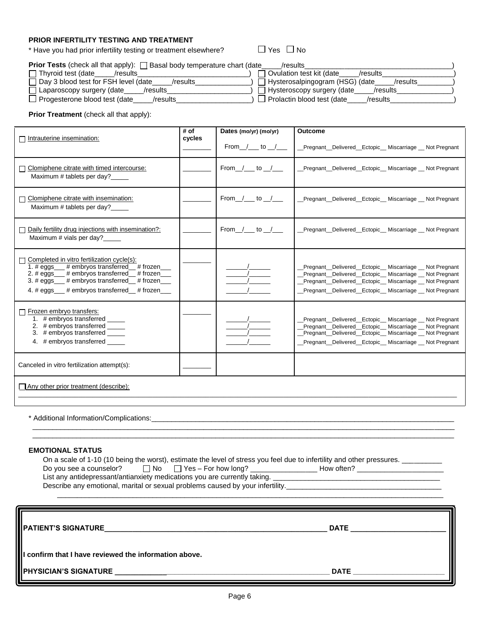## **PRIOR INFERTILITY TESTING AND TREATMENT**

\* Have you had prior infertility testing or treatment elsewhere?  $\Box$  Yes  $\Box$  No

| <b>Prior Tests</b> (check all that apply): $\Box$ Basal body temperature chart (date | /results                              |
|--------------------------------------------------------------------------------------|---------------------------------------|
| $\Box$ Thyroid test (date                                                            | <sup>1</sup> Ovulation test kit (date |
| /results                                                                             | /results                              |
| Day 3 blood test for FSH level (date                                                 | □ Hysterosalpingogram (HSG) (date_    |
| /results                                                                             | /results                              |
| $\Box$ Laparoscopy surgery (date_                                                    | Hysteroscopy surgery (date            |
| /results                                                                             | /results                              |
| $\Box$ Progesterone blood test (date                                                 | Prolactin blood test (date            |
| /results                                                                             | /results                              |

**Prior Treatment** (check all that apply):

| Intrauterine insemination:                                                                                                                                                                                                                               | # of<br>cycles | Dates (mo/yr) (mo/yr)<br>From $/$ to $/$ | <b>Outcome</b><br>Pregnant Delivered Ectopic Miscarriage Not Pregnant                                                                                                                                                      |
|----------------------------------------------------------------------------------------------------------------------------------------------------------------------------------------------------------------------------------------------------------|----------------|------------------------------------------|----------------------------------------------------------------------------------------------------------------------------------------------------------------------------------------------------------------------------|
| Clomiphene citrate with timed intercourse:<br>Maximum # tablets per day?_____                                                                                                                                                                            |                | From $1$ to $1$                          | Pregnant Delivered Ectopic Miscarriage Not Pregnant                                                                                                                                                                        |
| Clomiphene citrate with insemination:<br>Maximum # tablets per day?                                                                                                                                                                                      |                | From $1$ to $1$                          | Pregnant Delivered Ectopic Miscarriage Not Pregnant                                                                                                                                                                        |
| Daily fertility drug injections with insemination?:<br>Maximum # vials per day?_____                                                                                                                                                                     |                | From / to /                              | Pregnant Delivered Ectopic Miscarriage Not Pregnant                                                                                                                                                                        |
| Completed in vitro fertilization cycle(s):<br>1. $\#$ eggs $\#$ embryos transferred $\#$ frozen<br>2. # eggs___ # embryos transferred_ # frozen__<br>3. # eggs___ # embryos transferred_ # frozen__<br>4. $\#$ eqgs $\#$ embryos transferred $\#$ frozen |                |                                          | Pregnant Delivered Ectopic Miscarriage Not Pregnant<br>Pregnant Delivered Ectopic Miscarriage Not Pregnant<br>Pregnant Delivered Ectopic Miscarriage Not Pregnant<br>Pregnant Delivered Ectopic Miscarriage Not Pregnant   |
| Frozen embryo transfers:<br>1. # embryos transferred _____<br>2. # embryos transferred _____<br>3. # embryos transferred $\frac{\phantom{1}}{2}$<br>4. # embryos transferred                                                                             |                |                                          | Pregnant Delivered Ectopic Miscarriage Not Pregnant<br>Pregnant_Delivered_Ectopic_Miscarriage _Not Pregnant<br>Pregnant Delivered Ectopic Miscarriage Not Pregnant<br>Pregnant_Delivered_Ectopic_Miscarriage _Not Pregnant |
| Canceled in vitro fertilization attempt(s):                                                                                                                                                                                                              |                |                                          |                                                                                                                                                                                                                            |
| Any other prior treatment (describe):                                                                                                                                                                                                                    |                |                                          |                                                                                                                                                                                                                            |

\* Additional Information/Complications:\_\_\_\_\_\_\_\_\_\_\_\_\_\_\_\_\_\_\_\_\_\_\_\_\_\_\_\_\_\_\_\_\_\_\_\_\_\_\_\_\_\_\_\_\_\_\_\_\_\_\_\_\_\_\_\_\_\_\_\_\_\_\_\_\_\_\_\_\_\_\_\_\_\_\_\_

### **EMOTIONAL STATUS**

On a scale of 1-10 (10 being the worst), estimate the level of stress you feel due to infertility and other pressures. \_\_\_\_

| Do you see a counselor?                                                   | $\Box$ No $\Box$ Yes – For how long? | How often? |
|---------------------------------------------------------------------------|--------------------------------------|------------|
| List any antidepressant/antianxiety medications you are currently taking. |                                      |            |

\_\_\_\_\_\_\_\_\_\_\_\_\_\_\_\_\_\_\_\_\_\_\_\_\_\_\_\_\_\_\_\_\_\_\_\_\_\_\_\_\_\_\_\_\_\_\_\_\_\_\_\_\_\_\_\_\_\_\_\_\_\_\_\_\_\_\_\_\_\_\_\_\_\_\_\_\_\_\_\_\_\_\_\_\_\_\_\_\_\_\_\_\_\_\_\_\_\_\_\_\_\_\_\_\_\_ \_\_\_\_\_\_\_\_\_\_\_\_\_\_\_\_\_\_\_\_\_\_\_\_\_\_\_\_\_\_\_\_\_\_\_\_\_\_\_\_\_\_\_\_\_\_\_\_\_\_\_\_\_\_\_\_\_\_\_\_\_\_\_\_\_\_\_\_\_\_\_\_\_\_\_\_\_\_\_\_\_\_\_\_\_\_\_\_\_\_\_\_\_\_\_\_\_\_\_\_\_\_\_\_\_\_

 $\Box$ \_\_\_\_\_\_\_\_\_\_\_\_\_\_\_\_\_\_\_\_\_\_\_\_\_\_\_\_\_\_\_\_\_\_\_\_\_\_\_\_\_\_\_\_\_\_\_\_\_\_\_\_\_\_\_\_\_\_\_\_\_\_\_\_\_\_\_\_\_\_\_\_\_\_\_\_\_\_\_\_\_\_\_\_\_\_\_\_\_\_\_\_\_\_\_\_\_\_\_\_

Describe any emotional, marital or sexual problems caused by your infertility.\_\_\_\_\_\_\_\_\_\_\_\_\_\_\_\_\_\_\_\_\_\_\_\_\_\_\_\_\_\_\_\_

| <b>IIPATIENT'S SIGNATURE</b>                            | <b>DATE</b> |  |  |
|---------------------------------------------------------|-------------|--|--|
| III confirm that I have reviewed the information above. |             |  |  |
| <b>PHYSICIAN'S SIGNATURE</b>                            | <b>DATE</b> |  |  |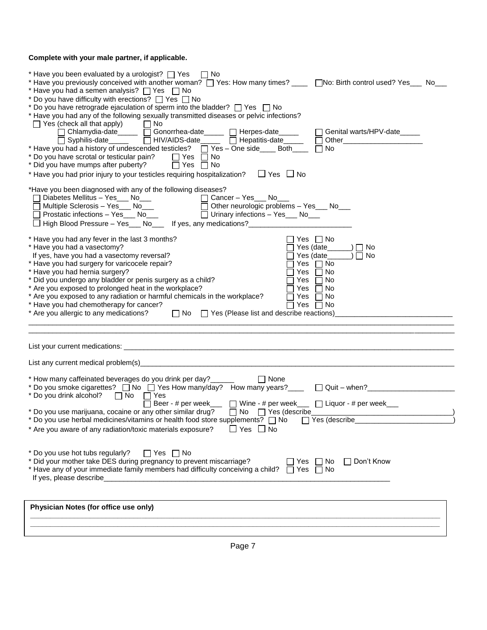## **Complete with your male partner, if applicable.**

| * Have you been evaluated by a urologist? $\Box$ Yes $\Box$ No<br>* Have you previously conceived with another woman? $\Box$ Yes: How many times? ____ $\Box$ No: Birth control used? Yes___ No___<br>* Have you had a semen analysis? $\Box$ Yes $\Box$ No<br>* Do you have difficulty with erections? $\Box$ Yes $\Box$ No<br>* Do you have retrograde ejaculation of sperm into the bladder? T Yes T No<br>* Have you had any of the following sexually transmitted diseases or pelvic infections?<br>$\Box$ Yes (check all that apply)<br>$\Box$ No<br>□ Chlamydia-date _____ □ Gonorrhea-date _____ □ Herpes-date _____<br>$\Box$ Genital warts/HPV-date<br>Syphilis-date______  □ HIV/AIDS-date______ □ Hepatitis-date_____<br>* Have you had a history of undescended testicles? $\Box$ Yes - One side____ Both____<br>No.<br>* Do you have scrotal or testicular pain? $\Box$ Yes $\Box$ No<br>* Did you have mumps after puberty?<br>$\Box$ Yes $\Box$ No |  |
|--------------------------------------------------------------------------------------------------------------------------------------------------------------------------------------------------------------------------------------------------------------------------------------------------------------------------------------------------------------------------------------------------------------------------------------------------------------------------------------------------------------------------------------------------------------------------------------------------------------------------------------------------------------------------------------------------------------------------------------------------------------------------------------------------------------------------------------------------------------------------------------------------------------------------------------------------------------------|--|
| $\Box$ Yes $\Box$ No<br>* Have you had prior injury to your testicles requiring hospitalization?                                                                                                                                                                                                                                                                                                                                                                                                                                                                                                                                                                                                                                                                                                                                                                                                                                                                   |  |
| *Have you been diagnosed with any of the following diseases?<br>Cancer – Yes No Cancer – Yes No Nultiple Sclerosis – Yes No No Cancer – Yes No Nultiple Sclerosis – Yes No No Nultiple Sclerosis – Yes No Nultiple Sclerosis – Yes No Nultiple Sclerosis – Yes No Nultiple Sclerosis – Yes No<br>Other neurologic problems $-$ Yes___ No___<br>□ Urinary infections - Yes ___ No___<br>$\Box$ High Blood Pressure – Yes___ No___ If yes, any medications?________________                                                                                                                                                                                                                                                                                                                                                                                                                                                                                          |  |
| * Have you had any fever in the last 3 months?<br>Yes $\Box$ No<br>* Have you had a vasectomy?<br>Yes (date___<br>) ∏ No<br>If yes, have you had a vasectomy reversal?<br>Yes (date<br>No<br>* Have you had surgery for varicocele repair?<br>Yes $\Box$ No<br>* Have you had hernia surgery?<br>No<br>Yes<br>$\Box$<br>* Did you undergo any bladder or penis surgery as a child?<br>Yes<br>No<br>* Are you exposed to prolonged heat in the workplace?<br>No<br>Yes<br>* Are you exposed to any radiation or harmful chemicals in the workplace?<br>$\Box$ No<br>Yes<br>* Have you had chemotherapy for cancer?<br>Yes $\Box$ No<br>$\Box$ No $\Box$ Yes (Please list and describe reactions)<br>* Are you allergic to any medications?                                                                                                                                                                                                                          |  |
|                                                                                                                                                                                                                                                                                                                                                                                                                                                                                                                                                                                                                                                                                                                                                                                                                                                                                                                                                                    |  |
|                                                                                                                                                                                                                                                                                                                                                                                                                                                                                                                                                                                                                                                                                                                                                                                                                                                                                                                                                                    |  |
| * How many caffeinated beverages do you drink per day?______<br>$\Box$ None<br>* Do you smoke cigarettes? $\Box$ No $\Box$ Yes How many/day? How many years? ___ $\Box$ Quit - when? ______________<br>* Do you drink alcohol?<br>T No  T Yes<br>Beer - # per week___ □ Wine - # per week___ □ Liquor - # per week___                                                                                                                                                                                                                                                                                                                                                                                                                                                                                                                                                                                                                                              |  |
| * Do you use herbal medicines/vitamins or health food store supplements? $\Box$ No<br>Yes (describe__________<br>* Are you aware of any radiation/toxic materials exposure?<br>$\Box$ No<br>Yes                                                                                                                                                                                                                                                                                                                                                                                                                                                                                                                                                                                                                                                                                                                                                                    |  |
| * Do you use hot tubs regularly?<br>$\Box$ Yes $\Box$ No<br>* Did your mother take DES during pregnancy to prevent miscarriage?<br>$\Box$ Don't Know<br>No<br>Yes<br>* Have any of your immediate family members had difficulty conceiving a child?<br>No<br>Yes<br>If yes, please describe                                                                                                                                                                                                                                                                                                                                                                                                                                                                                                                                                                                                                                                                        |  |
| Physician Notes (for office use only)                                                                                                                                                                                                                                                                                                                                                                                                                                                                                                                                                                                                                                                                                                                                                                                                                                                                                                                              |  |

**\_\_\_\_\_\_\_\_\_\_\_\_\_\_\_\_\_\_\_\_\_\_\_\_\_\_\_\_\_\_\_\_\_\_\_\_\_\_\_\_\_\_\_\_\_\_\_\_\_\_\_\_\_\_\_\_\_\_\_\_\_\_\_\_\_\_\_\_\_\_\_\_\_\_\_\_\_\_\_\_\_\_\_\_\_\_\_\_\_\_\_\_\_\_\_\_\_\_\_\_\_\_\_**